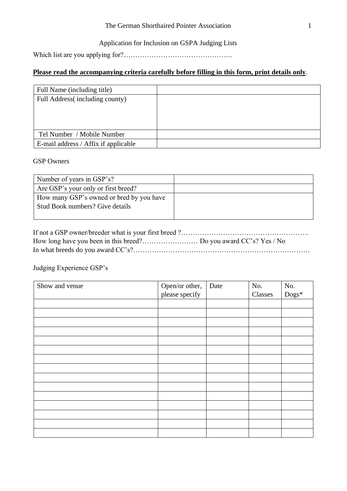#### The German Shorthaired Pointer Association 1

### Application for Inclusion on GSPA Judging Lists

Which list are you applying for?………………………………………..

## **Please read the accompanying criteria carefully before filling in this form, print details only**.

| Full Name (including title)          |  |
|--------------------------------------|--|
| Full Address (including county)      |  |
|                                      |  |
|                                      |  |
|                                      |  |
| Tel Number / Mobile Number           |  |
| E-mail address / Affix if applicable |  |

#### GSP Owners

| Number of years in GSP's?                |  |
|------------------------------------------|--|
| Are GSP's your only or first breed?      |  |
| How many GSP's owned or bred by you have |  |
| Stud Book numbers? Give details          |  |
|                                          |  |

# Judging Experience GSP's

| Show and venue | Open/or other, | Date | No.     | No.            |
|----------------|----------------|------|---------|----------------|
|                | please specify |      | Classes | $\text{Dogs*}$ |
|                |                |      |         |                |
|                |                |      |         |                |
|                |                |      |         |                |
|                |                |      |         |                |
|                |                |      |         |                |
|                |                |      |         |                |
|                |                |      |         |                |
|                |                |      |         |                |
|                |                |      |         |                |
|                |                |      |         |                |
|                |                |      |         |                |
|                |                |      |         |                |
|                |                |      |         |                |
|                |                |      |         |                |
|                |                |      |         |                |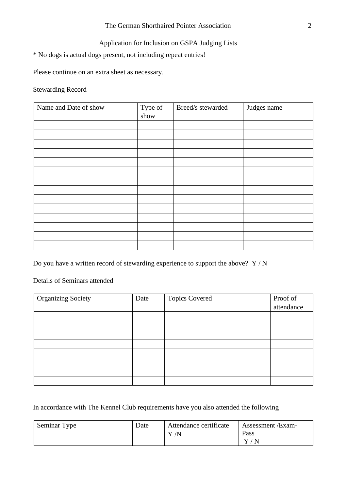## Application for Inclusion on GSPA Judging Lists

\* No dogs is actual dogs present, not including repeat entries!

Please continue on an extra sheet as necessary.

Stewarding Record

| Name and Date of show | Type of<br>show | Breed/s stewarded | Judges name |
|-----------------------|-----------------|-------------------|-------------|
|                       |                 |                   |             |
|                       |                 |                   |             |
|                       |                 |                   |             |
|                       |                 |                   |             |
|                       |                 |                   |             |
|                       |                 |                   |             |
|                       |                 |                   |             |
|                       |                 |                   |             |
|                       |                 |                   |             |
|                       |                 |                   |             |
|                       |                 |                   |             |
|                       |                 |                   |             |
|                       |                 |                   |             |
|                       |                 |                   |             |

Do you have a written record of stewarding experience to support the above?  $Y/N$ 

Details of Seminars attended

| <b>Organizing Society</b> | Date | <b>Topics Covered</b> | Proof of   |
|---------------------------|------|-----------------------|------------|
|                           |      |                       | attendance |
|                           |      |                       |            |
|                           |      |                       |            |
|                           |      |                       |            |
|                           |      |                       |            |
|                           |      |                       |            |
|                           |      |                       |            |
|                           |      |                       |            |
|                           |      |                       |            |

In accordance with The Kennel Club requirements have you also attended the following

| Seminar Type | Date | Attendance certificate<br>$\Lambda$<br>$\mathbf v$ | Assessment / Exam-<br>Pass<br>$\mathbf V$ ,<br>$'$ N |
|--------------|------|----------------------------------------------------|------------------------------------------------------|
|              |      |                                                    |                                                      |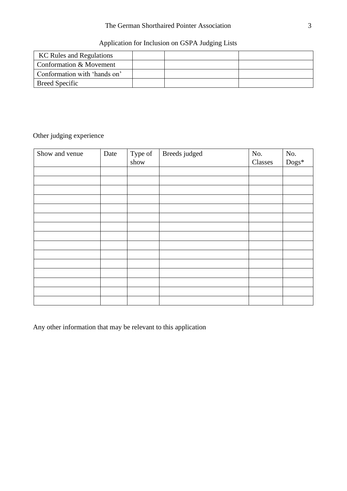### The German Shorthaired Pointer Association 3

# Application for Inclusion on GSPA Judging Lists

| <b>KC Rules and Regulations</b> |  |  |
|---------------------------------|--|--|
| Conformation & Movement         |  |  |
| Conformation with 'hands on'    |  |  |
| <b>Breed Specific</b>           |  |  |

# Other judging experience

| Show and venue | Date | Type of<br>show | Breeds judged | No.<br>Classes | No.<br>$\text{Dogs}^*$ |
|----------------|------|-----------------|---------------|----------------|------------------------|
|                |      |                 |               |                |                        |
|                |      |                 |               |                |                        |
|                |      |                 |               |                |                        |
|                |      |                 |               |                |                        |
|                |      |                 |               |                |                        |
|                |      |                 |               |                |                        |
|                |      |                 |               |                |                        |
|                |      |                 |               |                |                        |
|                |      |                 |               |                |                        |
|                |      |                 |               |                |                        |
|                |      |                 |               |                |                        |
|                |      |                 |               |                |                        |
|                |      |                 |               |                |                        |
|                |      |                 |               |                |                        |
|                |      |                 |               |                |                        |

Any other information that may be relevant to this application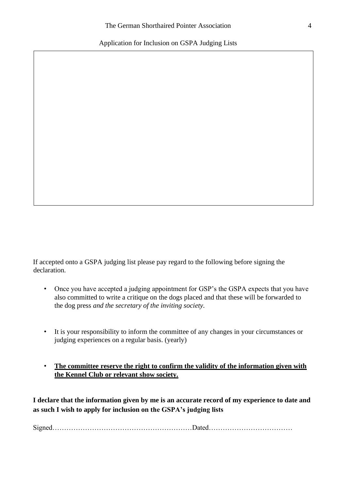Application for Inclusion on GSPA Judging Lists

If accepted onto a GSPA judging list please pay regard to the following before signing the declaration.

- Once you have accepted a judging appointment for GSP's the GSPA expects that you have also committed to write a critique on the dogs placed and that these will be forwarded to the dog press *and the secretary of the inviting society.*
- It is your responsibility to inform the committee of any changes in your circumstances or judging experiences on a regular basis. (yearly)
- **The committee reserve the right to confirm the validity of the information given with the Kennel Club or relevant show society.**

**I declare that the information given by me is an accurate record of my experience to date and as such I wish to apply for inclusion on the GSPA's judging lists** 

Signed……………………………………………………Dated………………………………